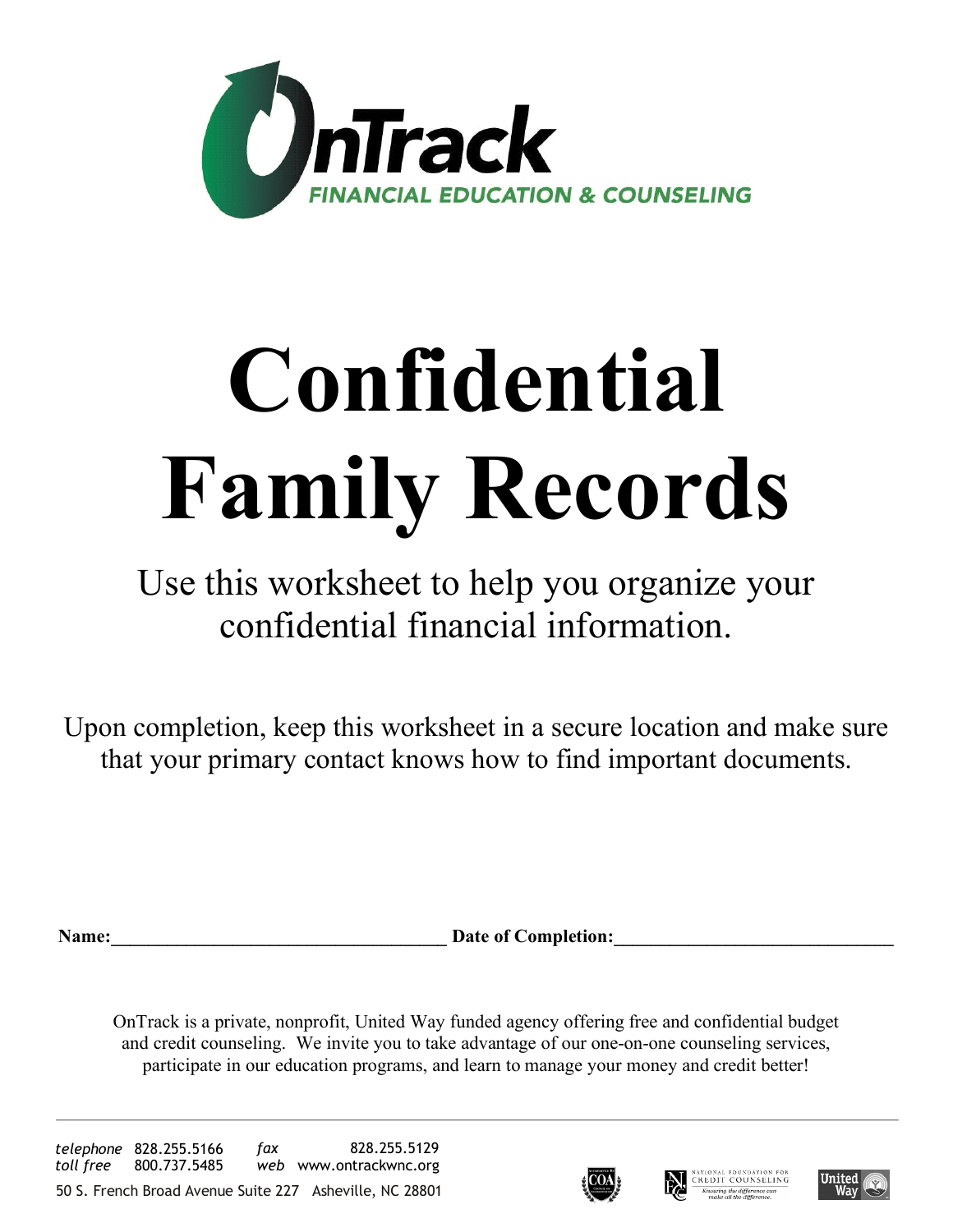

# **Confidential Family Records**

Use this worksheet to help you organize your confidential financial information.

Upon completion, keep this worksheet in a secure location and make sure that your primary contact knows how to find important documents.

Date of Completion:

OnTrack is a private, nonprofit, United Way funded agency offering free and confidential budget and credit counseling. We invite you to take advantage of our one-on-one counseling services, participate in our education programs, and learn to manage your money and credit better!





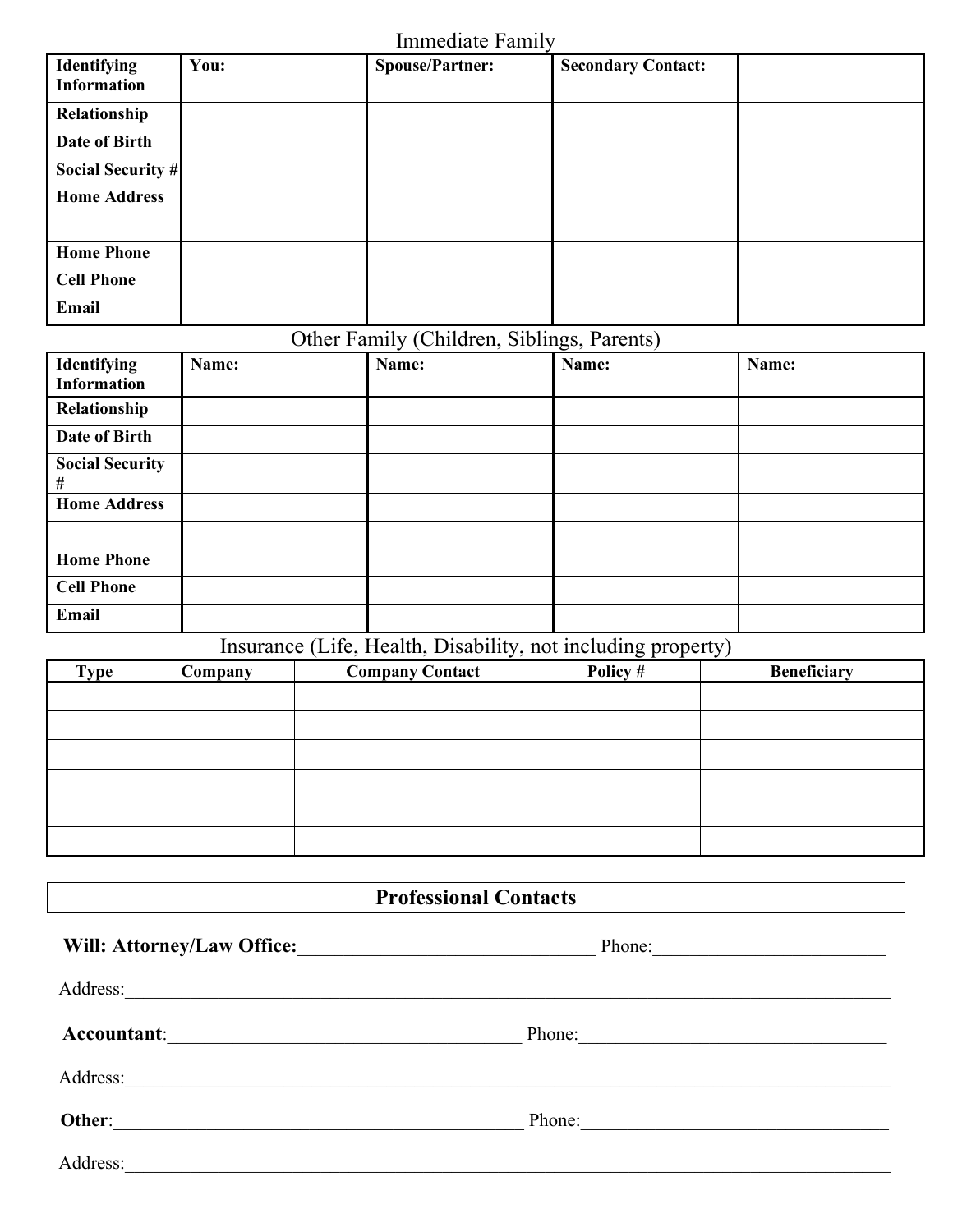Immediate Family

| Identifying<br><b>Information</b> | You: | <b>Spouse/Partner:</b> | <b>Secondary Contact:</b> |  |
|-----------------------------------|------|------------------------|---------------------------|--|
| Relationship                      |      |                        |                           |  |
| Date of Birth                     |      |                        |                           |  |
| <b>Social Security #</b>          |      |                        |                           |  |
| <b>Home Address</b>               |      |                        |                           |  |
|                                   |      |                        |                           |  |
| <b>Home Phone</b>                 |      |                        |                           |  |
| <b>Cell Phone</b>                 |      |                        |                           |  |
| Email                             |      |                        |                           |  |

### Other Family (Children, Siblings, Parents)

| <b>Identifying</b><br><b>Information</b> | Name: | Name: | Name: | Name: |
|------------------------------------------|-------|-------|-------|-------|
| Relationship                             |       |       |       |       |
| Date of Birth                            |       |       |       |       |
| <b>Social Security</b><br>#              |       |       |       |       |
| <b>Home Address</b>                      |       |       |       |       |
|                                          |       |       |       |       |
| <b>Home Phone</b>                        |       |       |       |       |
| <b>Cell Phone</b>                        |       |       |       |       |
| Email                                    |       |       |       |       |

#### Insurance (Life, Health, Disability, not including property)

|             |         | $\overline{\phantom{a}}$<br>$\overline{\phantom{a}}$ | ັ        | J <i>I</i>         |
|-------------|---------|------------------------------------------------------|----------|--------------------|
| <b>Type</b> | Company | <b>Company Contact</b>                               | Policy # | <b>Beneficiary</b> |
|             |         |                                                      |          |                    |
|             |         |                                                      |          |                    |
|             |         |                                                      |          |                    |
|             |         |                                                      |          |                    |
|             |         |                                                      |          |                    |
|             |         |                                                      |          |                    |
|             |         |                                                      |          |                    |
|             |         |                                                      |          |                    |
|             |         |                                                      |          |                    |
|             |         |                                                      |          |                    |
|             |         |                                                      |          |                    |
|             |         |                                                      |          |                    |
|             |         |                                                      |          |                    |
|             |         |                                                      |          |                    |
|             |         |                                                      |          |                    |

#### **Professional Contacts**

| <b>Will: Attorney/Law Office:</b>                                                    | Phone: |  |
|--------------------------------------------------------------------------------------|--------|--|
| Address:<br><u> 1989 - John Stone, Amerikaansk politiker (* 1908)</u>                |        |  |
| Accountant:                                                                          | Phone: |  |
| Address:                                                                             |        |  |
| Other:<br>the control of the control of the control of the control of the control of | Phone: |  |
| Address:                                                                             |        |  |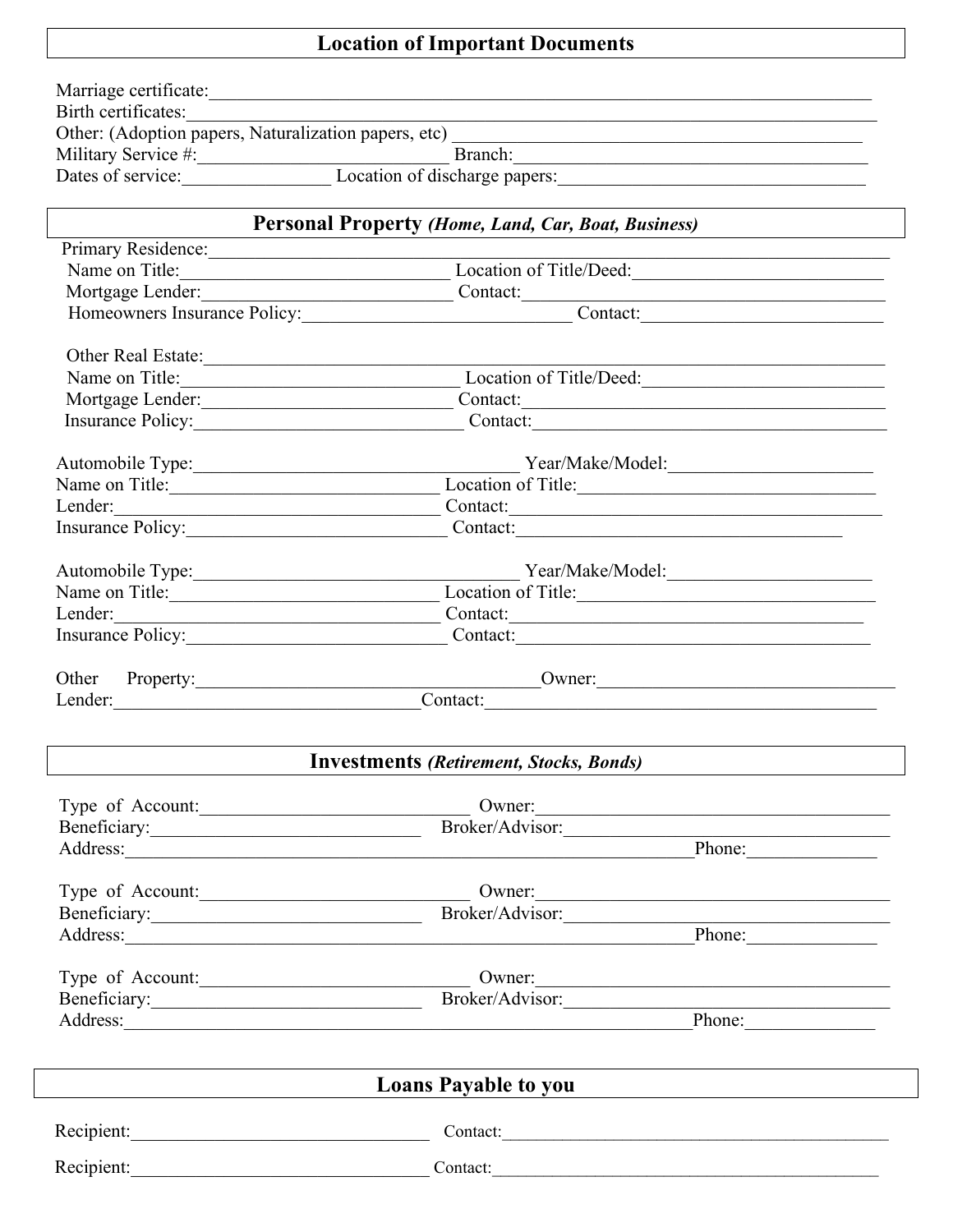## **Location of Important Documents**

| Recipient:<br>Contact:<br>Recipient:<br>Contact:                                                                                                                                                                                                  |  |  |  |  |  |
|---------------------------------------------------------------------------------------------------------------------------------------------------------------------------------------------------------------------------------------------------|--|--|--|--|--|
| <b>Loans Payable to you</b>                                                                                                                                                                                                                       |  |  |  |  |  |
|                                                                                                                                                                                                                                                   |  |  |  |  |  |
| Phone:                                                                                                                                                                                                                                            |  |  |  |  |  |
| Broker/Advisor: 2007<br>Beneficiary:                                                                                                                                                                                                              |  |  |  |  |  |
| Type of Account:<br>Owner:                                                                                                                                                                                                                        |  |  |  |  |  |
|                                                                                                                                                                                                                                                   |  |  |  |  |  |
| Broker/Advisor:<br>Address: Phone: Phone: Phone: Phone: Phone: Phone: Phone: Phone: Phone: Phone: Phone: Phone: Phone: Phone: Phone: Phone: Phone: Phone: Phone: Phone: Phone: Phone: Phone: Phone: Phone: Phone: Phone: Phone: Phone: Phone: Pho |  |  |  |  |  |
| Type of Account:<br>Owner:                                                                                                                                                                                                                        |  |  |  |  |  |
|                                                                                                                                                                                                                                                   |  |  |  |  |  |
| Address: Phone: Phone:                                                                                                                                                                                                                            |  |  |  |  |  |
| Broker/Advisor:<br>Beneficiary:                                                                                                                                                                                                                   |  |  |  |  |  |
| Type of Account:<br>Owner:                                                                                                                                                                                                                        |  |  |  |  |  |
|                                                                                                                                                                                                                                                   |  |  |  |  |  |
| <b>Investments (Retirement, Stocks, Bonds)</b>                                                                                                                                                                                                    |  |  |  |  |  |
| Contact:<br>Lender:                                                                                                                                                                                                                               |  |  |  |  |  |
| Other Property: Owner: Owner:                                                                                                                                                                                                                     |  |  |  |  |  |
|                                                                                                                                                                                                                                                   |  |  |  |  |  |
| Insurance Policy: Contact: Contact:                                                                                                                                                                                                               |  |  |  |  |  |
| Name on Title:<br>Lender: Contact: Contact:                                                                                                                                                                                                       |  |  |  |  |  |
| Location of Title:                                                                                                                                                                                                                                |  |  |  |  |  |
| Automobile Type: Vear/Make/Model:                                                                                                                                                                                                                 |  |  |  |  |  |
| Insurance Policy: Contact: Contact:                                                                                                                                                                                                               |  |  |  |  |  |
| Lender: Contact: Contact:                                                                                                                                                                                                                         |  |  |  |  |  |
| Location of Title:<br>Name on Title:                                                                                                                                                                                                              |  |  |  |  |  |
| Automobile Type: Vear/Make/Model:                                                                                                                                                                                                                 |  |  |  |  |  |
|                                                                                                                                                                                                                                                   |  |  |  |  |  |
| Insurance Policy: Contact: Contact:                                                                                                                                                                                                               |  |  |  |  |  |
|                                                                                                                                                                                                                                                   |  |  |  |  |  |
| Location of Title/Deed:<br>Name on Title:                                                                                                                                                                                                         |  |  |  |  |  |
| Other Real Estate:                                                                                                                                                                                                                                |  |  |  |  |  |
|                                                                                                                                                                                                                                                   |  |  |  |  |  |
| Homeowners Insurance Policy: Contact:                                                                                                                                                                                                             |  |  |  |  |  |
|                                                                                                                                                                                                                                                   |  |  |  |  |  |
| Name on Title: Location of Title/Deed:                                                                                                                                                                                                            |  |  |  |  |  |
| Primary Residence:                                                                                                                                                                                                                                |  |  |  |  |  |
| <b>Personal Property (Home, Land, Car, Boat, Business)</b>                                                                                                                                                                                        |  |  |  |  |  |
|                                                                                                                                                                                                                                                   |  |  |  |  |  |
| Military Service #: Branch: Branch: Branch: Branch: Dates of service: Location of discharge papers:<br>Branch:                                                                                                                                    |  |  |  |  |  |
|                                                                                                                                                                                                                                                   |  |  |  |  |  |
|                                                                                                                                                                                                                                                   |  |  |  |  |  |
|                                                                                                                                                                                                                                                   |  |  |  |  |  |